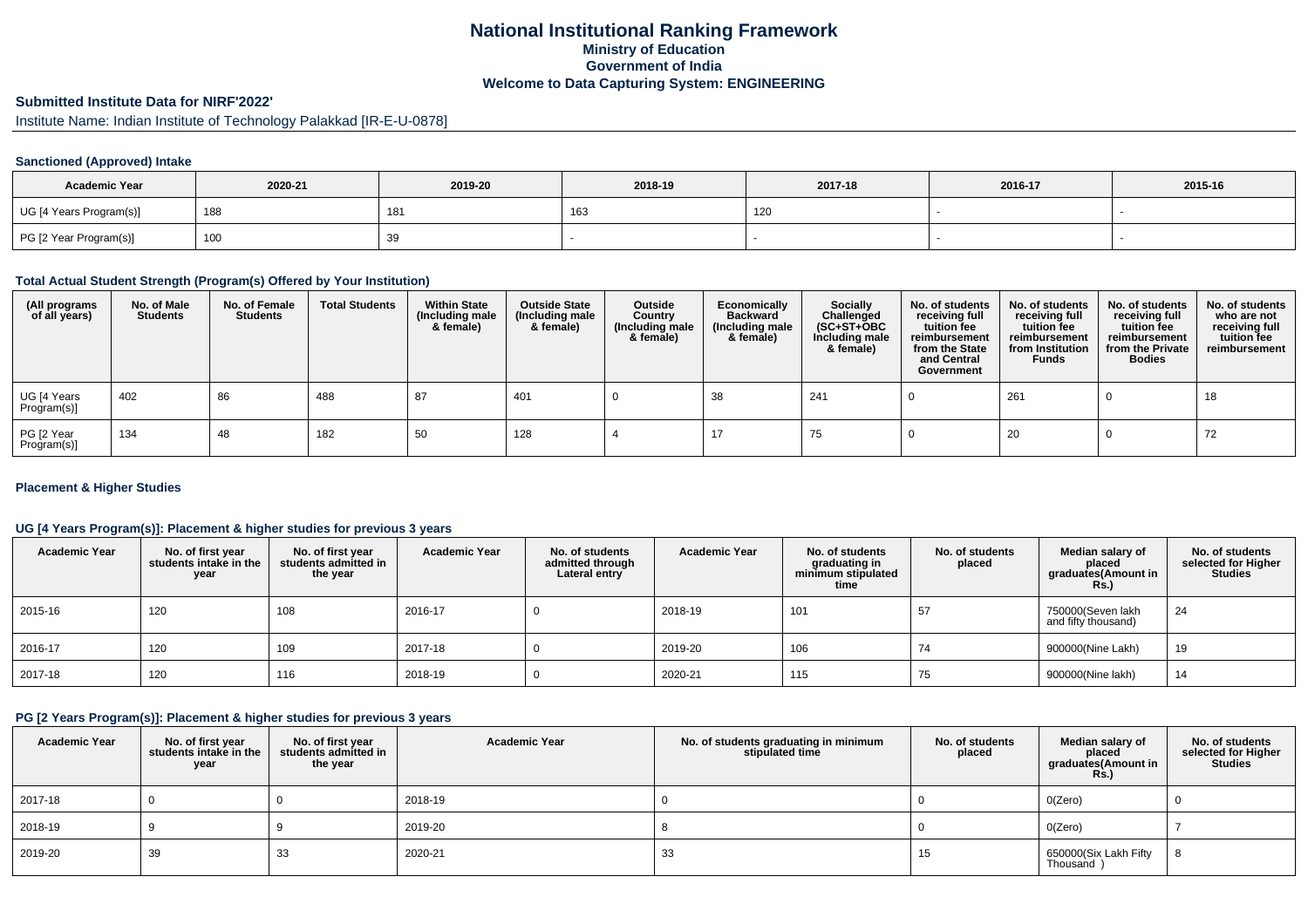## **National Institutional Ranking FrameworkMinistry of Education Government of IndiaWelcome to Data Capturing System: ENGINEERING**

# **Submitted Institute Data for NIRF'2022'**

Institute Name: Indian Institute of Technology Palakkad [IR-E-U-0878]

### **Sanctioned (Approved) Intake**

| <b>Academic Year</b>    | 2020-21 | 2019-20 | 2018-19 | 2017-18 | 2016-17 | 2015-16 |
|-------------------------|---------|---------|---------|---------|---------|---------|
| UG [4 Years Program(s)] | 188     | 181     | 163     | 120     |         |         |
| PG [2 Year Program(s)]  | 100     | 39      |         |         |         |         |

#### **Total Actual Student Strength (Program(s) Offered by Your Institution)**

| (All programs<br>of all years) | No. of Male<br><b>Students</b> | No. of Female<br><b>Students</b> | <b>Total Students</b> | <b>Within State</b><br>(Including male<br>& female) | <b>Outside State</b><br>(Including male<br>& female) | Outside<br>Country<br>(Including male<br>& female) | Economically<br><b>Backward</b><br>(Including male<br>& female) | <b>Socially</b><br>Challenged<br>$(SC+ST+OBC)$<br>Including male<br>& female) | No. of students<br>receiving full<br>tuition fee<br>reimbursement<br>from the State<br>and Central<br>Government | No. of students<br>receiving full<br>tuition fee<br>reimbursement<br>from Institution<br><b>Funds</b> | No. of students<br>receiving full<br>tuition fee<br>reimbursement<br>from the Private<br><b>Bodies</b> | No. of students<br>who are not<br>receiving full<br>tuition fee<br>reimbursement |
|--------------------------------|--------------------------------|----------------------------------|-----------------------|-----------------------------------------------------|------------------------------------------------------|----------------------------------------------------|-----------------------------------------------------------------|-------------------------------------------------------------------------------|------------------------------------------------------------------------------------------------------------------|-------------------------------------------------------------------------------------------------------|--------------------------------------------------------------------------------------------------------|----------------------------------------------------------------------------------|
| UG [4 Years<br>Program(s)]     | 402                            | 86                               | 488                   | 87                                                  | 401                                                  |                                                    | 38                                                              | 241                                                                           |                                                                                                                  | 261                                                                                                   |                                                                                                        | 18                                                                               |
| PG [2 Year<br>Program(s)]      | 134                            | 48                               | 182                   | 50                                                  | 128                                                  |                                                    |                                                                 | 75                                                                            |                                                                                                                  | 20                                                                                                    |                                                                                                        | 72                                                                               |

### **Placement & Higher Studies**

### **UG [4 Years Program(s)]: Placement & higher studies for previous 3 years**

| <b>Academic Year</b> | No. of first year<br>students intake in the<br>year | No. of first vear<br>students admitted in<br>the year | <b>Academic Year</b> | No. of students<br>admitted through<br>Lateral entry | <b>Academic Year</b> | No. of students<br>graduating in<br>minimum stipulated<br>time | No. of students<br>placed | Median salary of<br>placed<br>graduates(Amount in<br><b>Rs.)</b> | No. of students<br>selected for Higher<br>Studies |
|----------------------|-----------------------------------------------------|-------------------------------------------------------|----------------------|------------------------------------------------------|----------------------|----------------------------------------------------------------|---------------------------|------------------------------------------------------------------|---------------------------------------------------|
| 2015-16              | 120                                                 | 108                                                   | 2016-17              |                                                      | 2018-19              | 101                                                            | 57                        | 750000(Seven lakh<br>and fifty thousand)                         | 24                                                |
| 2016-17              | 120                                                 | 109                                                   | 2017-18              |                                                      | 2019-20              | 106                                                            | 74                        | 900000(Nine Lakh)                                                | 19                                                |
| 2017-18              | 120                                                 | 116                                                   | 2018-19              |                                                      | 2020-21              | 115                                                            | 75                        | 900000(Nine lakh)                                                | 14                                                |

## **PG [2 Years Program(s)]: Placement & higher studies for previous 3 years**

| <b>Academic Year</b> | No. of first year<br>students intake in the<br>year | No. of first year<br>students admitted in<br>the year | <b>Academic Year</b> | No. of students graduating in minimum<br>stipulated time | No. of students<br>placed | Median salary of<br>placed<br>graduates(Amount in<br><b>Rs.)</b> | No. of students<br>selected for Higher<br><b>Studies</b> |
|----------------------|-----------------------------------------------------|-------------------------------------------------------|----------------------|----------------------------------------------------------|---------------------------|------------------------------------------------------------------|----------------------------------------------------------|
| 2017-18              |                                                     |                                                       | 2018-19              |                                                          |                           | O(Zero)                                                          |                                                          |
| 2018-19              |                                                     |                                                       | 2019-20              |                                                          |                           | O(Zero)                                                          |                                                          |
| 2019-20              | 39                                                  | 33                                                    | 2020-21              | 33                                                       | 15                        | 650000(Six Lakh Fifty<br>Thousand )                              | -8                                                       |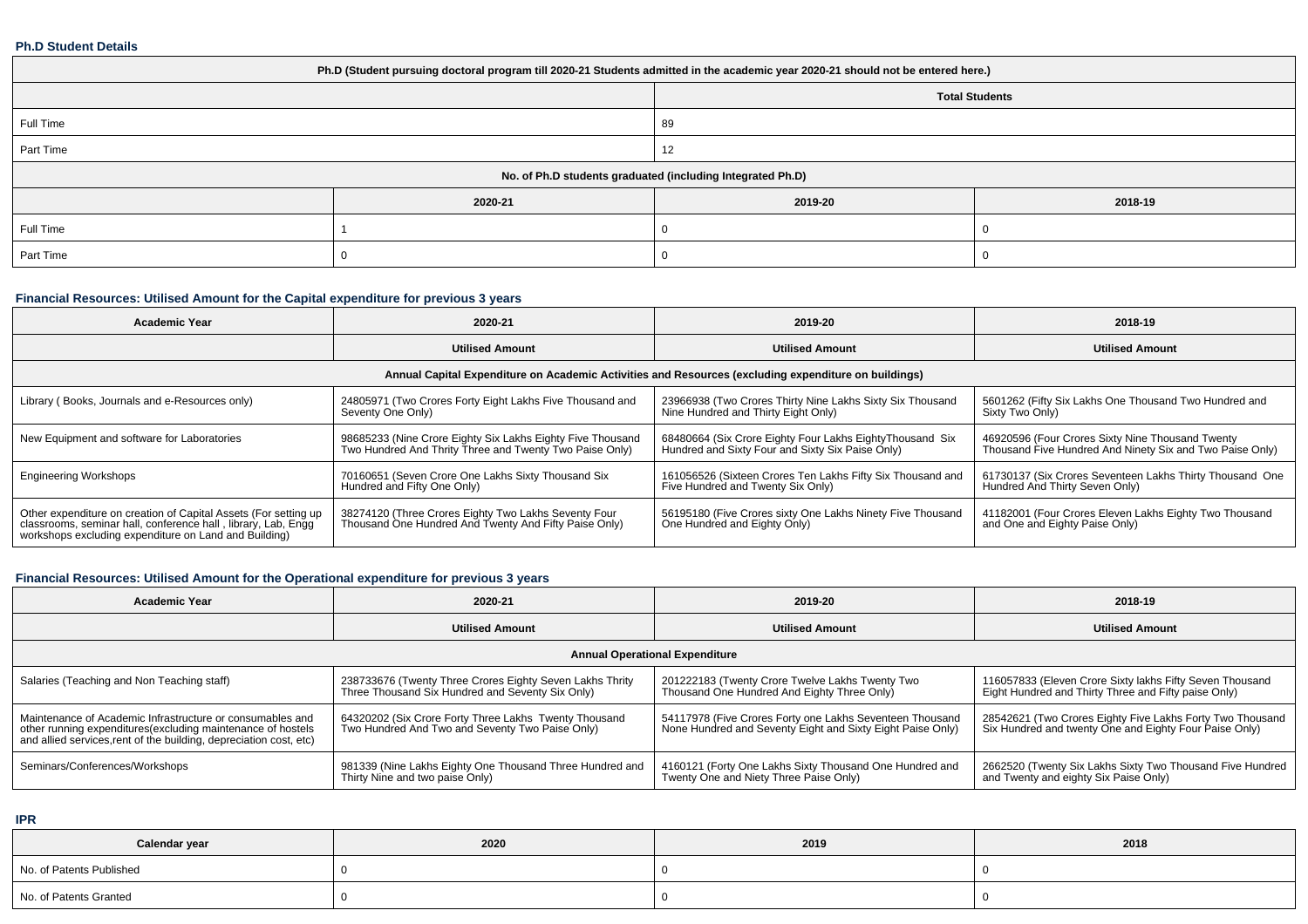#### **Ph.D Student Details**

| Ph.D (Student pursuing doctoral program till 2020-21 Students admitted in the academic year 2020-21 should not be entered here.) |         |         |         |  |  |  |  |
|----------------------------------------------------------------------------------------------------------------------------------|---------|---------|---------|--|--|--|--|
| <b>Total Students</b>                                                                                                            |         |         |         |  |  |  |  |
| Full Time                                                                                                                        |         | 89      |         |  |  |  |  |
| Part Time                                                                                                                        |         | 12      |         |  |  |  |  |
| No. of Ph.D students graduated (including Integrated Ph.D)                                                                       |         |         |         |  |  |  |  |
|                                                                                                                                  | 2020-21 | 2019-20 | 2018-19 |  |  |  |  |
| Full Time                                                                                                                        |         |         |         |  |  |  |  |
| Part Time                                                                                                                        |         |         |         |  |  |  |  |

## **Financial Resources: Utilised Amount for the Capital expenditure for previous 3 years**

| <b>Academic Year</b>                                                                                                                                                                      | 2020-21                                                                                                               | 2019-20                                                                                                      | 2018-19                                                                                                      |  |  |  |  |  |  |
|-------------------------------------------------------------------------------------------------------------------------------------------------------------------------------------------|-----------------------------------------------------------------------------------------------------------------------|--------------------------------------------------------------------------------------------------------------|--------------------------------------------------------------------------------------------------------------|--|--|--|--|--|--|
|                                                                                                                                                                                           | <b>Utilised Amount</b>                                                                                                | <b>Utilised Amount</b>                                                                                       |                                                                                                              |  |  |  |  |  |  |
| Annual Capital Expenditure on Academic Activities and Resources (excluding expenditure on buildings)                                                                                      |                                                                                                                       |                                                                                                              |                                                                                                              |  |  |  |  |  |  |
| Library (Books, Journals and e-Resources only)                                                                                                                                            | 24805971 (Two Crores Forty Eight Lakhs Five Thousand and<br>Seventy One Only)                                         | 23966938 (Two Crores Thirty Nine Lakhs Sixty Six Thousand<br>Nine Hundred and Thirty Eight Only)             | 5601262 (Fifty Six Lakhs One Thousand Two Hundred and<br>Sixty Two Only)                                     |  |  |  |  |  |  |
| New Equipment and software for Laboratories                                                                                                                                               | 98685233 (Nine Crore Eighty Six Lakhs Eighty Five Thousand<br>Two Hundred And Thrity Three and Twenty Two Paise Only) | 68480664 (Six Crore Eighty Four Lakhs EightyThousand Six<br>Hundred and Sixty Four and Sixty Six Paise Only) | 46920596 (Four Crores Sixty Nine Thousand Twenty<br>Thousand Five Hundred And Ninety Six and Two Paise Only) |  |  |  |  |  |  |
| <b>Engineering Workshops</b>                                                                                                                                                              | 70160651 (Seven Crore One Lakhs Sixty Thousand Six<br>Hundred and Fifty One Only)                                     | 161056526 (Sixteen Crores Ten Lakhs Fifty Six Thousand and<br>Five Hundred and Twenty Six Only)              | 61730137 (Six Crores Seventeen Lakhs Thirty Thousand One<br>Hundred And Thirty Seven Only)                   |  |  |  |  |  |  |
| Other expenditure on creation of Capital Assets (For setting up<br>classrooms, seminar hall, conference hall, library, Lab, Engg<br>workshops excluding expenditure on Land and Building) | 38274120 (Three Crores Eighty Two Lakhs Seventy Four<br>Thousand One Hundred And Twenty And Fifty Paise Only)         | 56195180 (Five Crores sixty One Lakhs Ninety Five Thousand<br>One Hundred and Eighty Only)                   | 41182001 (Four Crores Eleven Lakhs Eighty Two Thousand<br>and One and Eighty Paise Only)                     |  |  |  |  |  |  |

## **Financial Resources: Utilised Amount for the Operational expenditure for previous 3 years**

| <b>Academic Year</b>                                                                                                                                                                            | 2020-21                                                                                                      | 2019-20                                                                                                                | 2018-19                                                                                                             |  |  |  |  |  |  |
|-------------------------------------------------------------------------------------------------------------------------------------------------------------------------------------------------|--------------------------------------------------------------------------------------------------------------|------------------------------------------------------------------------------------------------------------------------|---------------------------------------------------------------------------------------------------------------------|--|--|--|--|--|--|
|                                                                                                                                                                                                 | <b>Utilised Amount</b>                                                                                       | <b>Utilised Amount</b>                                                                                                 | <b>Utilised Amount</b>                                                                                              |  |  |  |  |  |  |
| <b>Annual Operational Expenditure</b>                                                                                                                                                           |                                                                                                              |                                                                                                                        |                                                                                                                     |  |  |  |  |  |  |
| Salaries (Teaching and Non Teaching staff)                                                                                                                                                      | 238733676 (Twenty Three Crores Eighty Seven Lakhs Thrity<br>Three Thousand Six Hundred and Seventy Six Only) | 201222183 (Twenty Crore Twelve Lakhs Twenty Two<br>Thousand One Hundred And Eighty Three Only)                         | 116057833 (Eleven Crore Sixty lakhs Fifty Seven Thousand<br>Eight Hundred and Thirty Three and Fifty paise Only)    |  |  |  |  |  |  |
| Maintenance of Academic Infrastructure or consumables and<br>other running expenditures (excluding maintenance of hostels<br>and allied services, rent of the building, depreciation cost, etc) | 64320202 (Six Crore Forty Three Lakhs Twenty Thousand<br>Two Hundred And Two and Seventy Two Paise Only)     | 54117978 (Five Crores Forty one Lakhs Seventeen Thousand<br>None Hundred and Seventy Eight and Sixty Eight Paise Only) | 28542621 (Two Crores Eighty Five Lakhs Forty Two Thousand<br>Six Hundred and twenty One and Eighty Four Paise Only) |  |  |  |  |  |  |
| Seminars/Conferences/Workshops                                                                                                                                                                  | 981339 (Nine Lakhs Eighty One Thousand Three Hundred and<br>Thirty Nine and two paise Only)                  | 4160121 (Forty One Lakhs Sixty Thousand One Hundred and<br>Twenty One and Niety Three Paise Only)                      | 2662520 (Twenty Six Lakhs Sixty Two Thousand Five Hundred  <br>and Twenty and eighty Six Paise Only)                |  |  |  |  |  |  |

**IPR**

| Calendar year            | 2020 | 2019 | 2018 |
|--------------------------|------|------|------|
| No. of Patents Published |      |      |      |
| No. of Patents Granted   |      |      |      |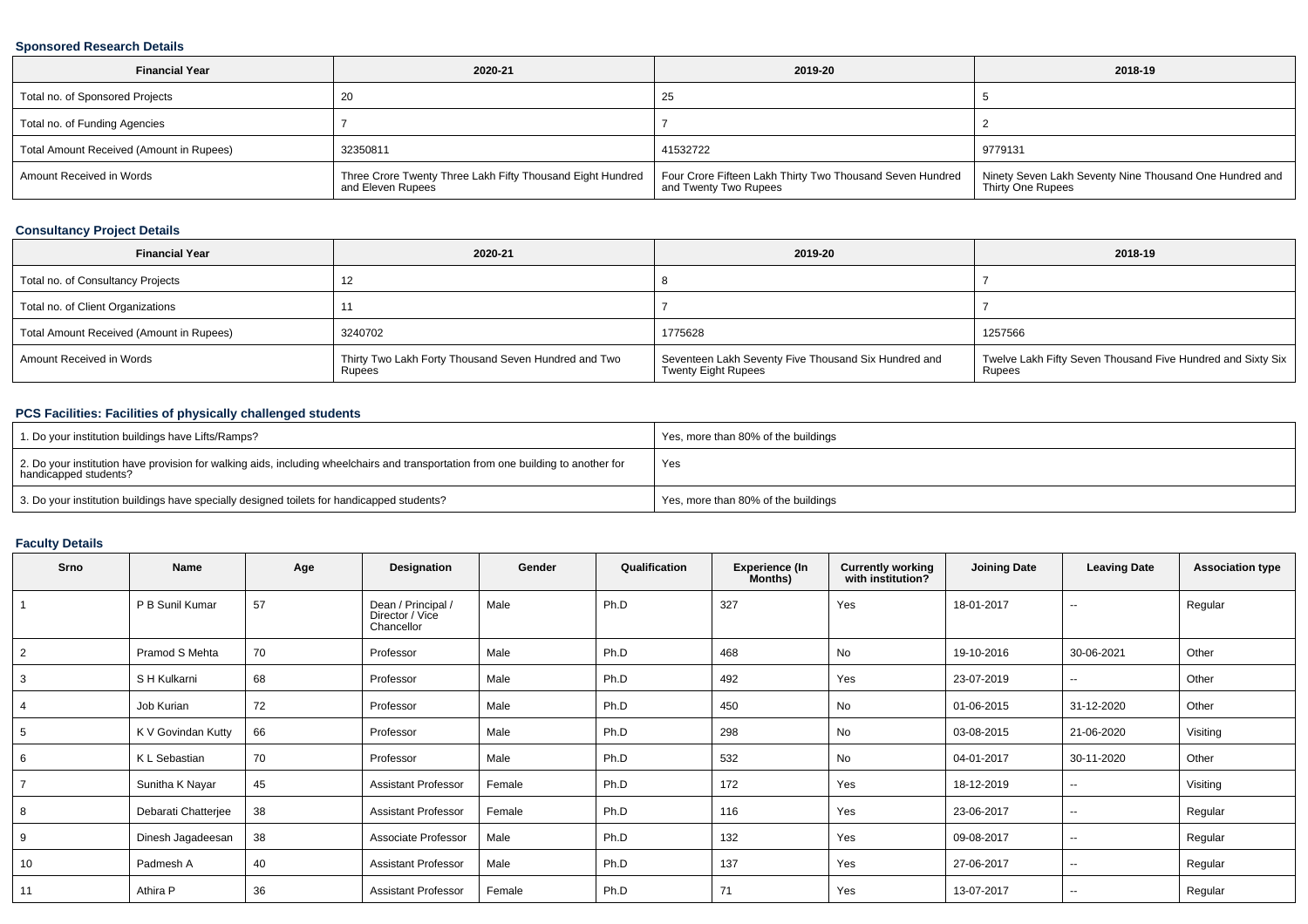### **Sponsored Research Details**

| <b>Financial Year</b>                    | 2020-21                                                                         | 2019-20                                                                            | 2018-19                                                                      |
|------------------------------------------|---------------------------------------------------------------------------------|------------------------------------------------------------------------------------|------------------------------------------------------------------------------|
| Total no. of Sponsored Projects          | 20                                                                              | 25                                                                                 |                                                                              |
| Total no. of Funding Agencies            |                                                                                 |                                                                                    |                                                                              |
| Total Amount Received (Amount in Rupees) | 32350811                                                                        | 41532722                                                                           | 9779131                                                                      |
| Amount Received in Words                 | Three Crore Twenty Three Lakh Fifty Thousand Eight Hundred<br>and Eleven Rupees | Four Crore Fifteen Lakh Thirty Two Thousand Seven Hundred<br>and Twenty Two Rupees | Ninety Seven Lakh Seventy Nine Thousand One Hundred and<br>Thirty One Rupees |

## **Consultancy Project Details**

| <b>Financial Year</b>                    | 2020-21                                                        | 2019-20                                                                            | 2018-19                                                               |
|------------------------------------------|----------------------------------------------------------------|------------------------------------------------------------------------------------|-----------------------------------------------------------------------|
| Total no. of Consultancy Projects        | $\sim$                                                         |                                                                                    |                                                                       |
| Total no. of Client Organizations        |                                                                |                                                                                    |                                                                       |
| Total Amount Received (Amount in Rupees) | 3240702                                                        | 1775628                                                                            | 1257566                                                               |
| Amount Received in Words                 | Thirty Two Lakh Forty Thousand Seven Hundred and Two<br>Rupees | Seventeen Lakh Seventy Five Thousand Six Hundred and<br><b>Twenty Eight Rupees</b> | Twelve Lakh Fifty Seven Thousand Five Hundred and Sixty Six<br>Rupees |

### **PCS Facilities: Facilities of physically challenged students**

| 1. Do your institution buildings have Lifts/Ramps?                                                                                                         | Yes, more than 80% of the buildings |
|------------------------------------------------------------------------------------------------------------------------------------------------------------|-------------------------------------|
| 2. Do your institution have provision for walking aids, including wheelchairs and transportation from one building to another for<br>handicapped students? | Yes                                 |
| 3. Do your institution buildings have specially designed toilets for handicapped students?                                                                 | Yes, more than 80% of the buildings |

## **Faculty Details**

| Srno           | <b>Name</b>         | Age | Designation                                         | Gender | Qualification | <b>Experience (In</b><br>Months) | Currently working<br>with institution? | <b>Joining Date</b> | <b>Leaving Date</b>      | <b>Association type</b> |
|----------------|---------------------|-----|-----------------------------------------------------|--------|---------------|----------------------------------|----------------------------------------|---------------------|--------------------------|-------------------------|
|                | P B Sunil Kumar     | 57  | Dean / Principal /<br>Director / Vice<br>Chancellor | Male   | Ph.D          | 327                              | Yes                                    | 18-01-2017          | --                       | Regular                 |
| $\overline{2}$ | Pramod S Mehta      | 70  | Professor                                           | Male   | Ph.D          | 468                              | No                                     | 19-10-2016          | 30-06-2021               | Other                   |
| 3              | S H Kulkarni        | 68  | Professor                                           | Male   | Ph.D          | 492                              | Yes                                    | 23-07-2019          | $\sim$                   | Other                   |
| 4              | Job Kurian          | 72  | Professor                                           | Male   | Ph.D          | 450                              | No                                     | 01-06-2015          | 31-12-2020               | Other                   |
| 5              | K V Govindan Kutty  | 66  | Professor                                           | Male   | Ph.D          | 298                              | No                                     | 03-08-2015          | 21-06-2020               | Visiting                |
| 6              | K L Sebastian       | 70  | Professor                                           | Male   | Ph.D          | 532                              | No                                     | 04-01-2017          | 30-11-2020               | Other                   |
|                | Sunitha K Nayar     | 45  | <b>Assistant Professor</b>                          | Female | Ph.D          | 172                              | Yes                                    | 18-12-2019          | $\overline{\phantom{a}}$ | Visiting                |
| 8              | Debarati Chatterjee | 38  | <b>Assistant Professor</b>                          | Female | Ph.D          | 116                              | Yes                                    | 23-06-2017          | $\sim$                   | Regular                 |
| 9              | Dinesh Jagadeesan   | 38  | Associate Professor                                 | Male   | Ph.D          | 132                              | Yes                                    | 09-08-2017          | $\overline{\phantom{a}}$ | Regular                 |
| 10             | Padmesh A           | 40  | <b>Assistant Professor</b>                          | Male   | Ph.D          | 137                              | Yes                                    | 27-06-2017          | $\sim$                   | Regular                 |
| 11             | Athira P            | 36  | <b>Assistant Professor</b>                          | Female | Ph.D          | 71                               | Yes                                    | 13-07-2017          | $\sim$ $\sim$            | Regular                 |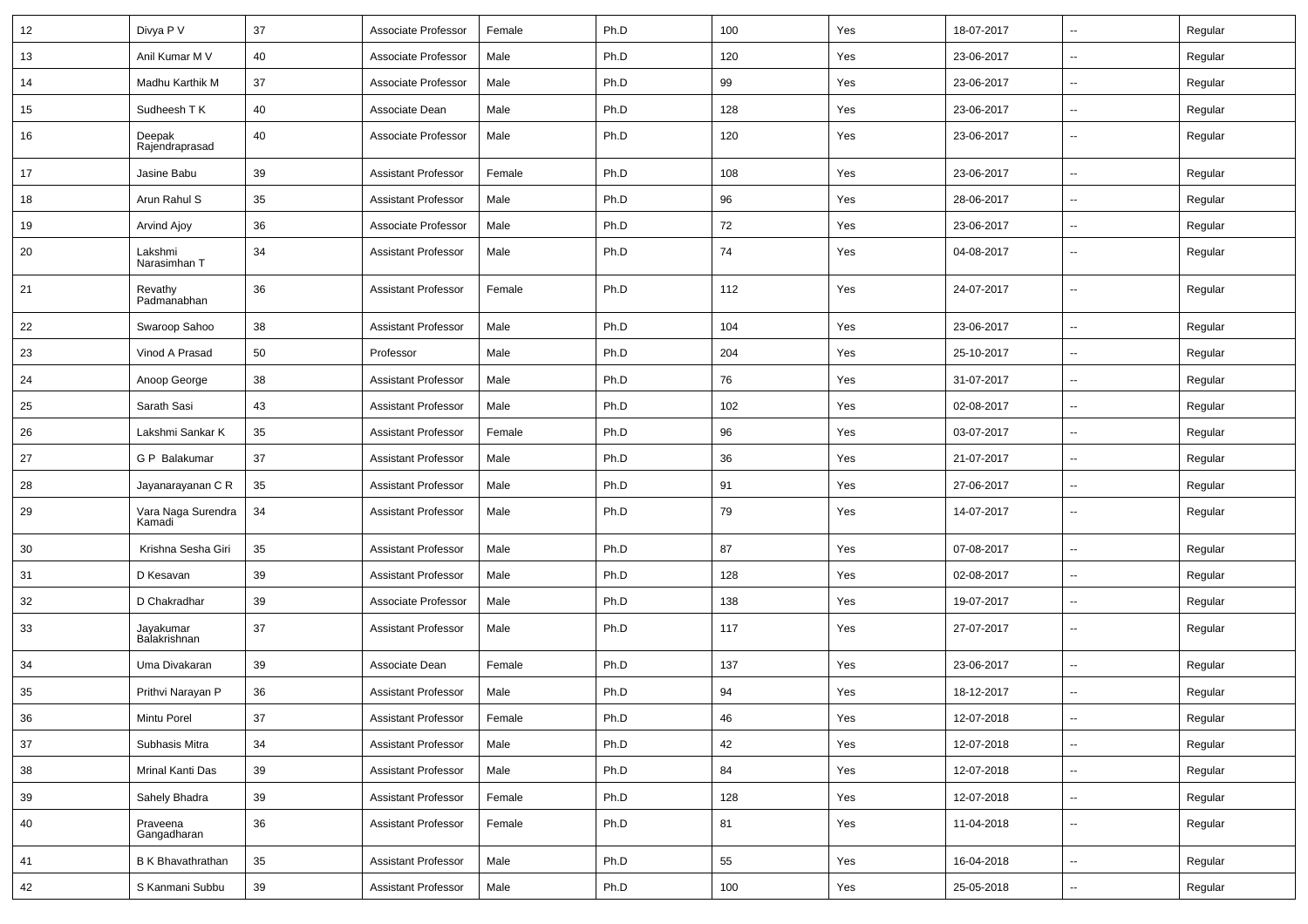| 12 | Divya P V                    | 37 | Associate Professor        | Female | Ph.D | 100 | Yes | 18-07-2017 | $\overline{\phantom{a}}$ | Regular |
|----|------------------------------|----|----------------------------|--------|------|-----|-----|------------|--------------------------|---------|
| 13 | Anil Kumar M V               | 40 | Associate Professor        | Male   | Ph.D | 120 | Yes | 23-06-2017 | $\overline{\phantom{a}}$ | Regular |
| 14 | Madhu Karthik M              | 37 | Associate Professor        | Male   | Ph.D | 99  | Yes | 23-06-2017 | $\overline{\phantom{a}}$ | Regular |
| 15 | Sudheesh T K                 | 40 | Associate Dean             | Male   | Ph.D | 128 | Yes | 23-06-2017 | --                       | Regular |
| 16 | Deepak<br>Rajendraprasad     | 40 | Associate Professor        | Male   | Ph.D | 120 | Yes | 23-06-2017 | --                       | Regular |
| 17 | Jasine Babu                  | 39 | <b>Assistant Professor</b> | Female | Ph.D | 108 | Yes | 23-06-2017 | --                       | Regular |
| 18 | Arun Rahul S                 | 35 | <b>Assistant Professor</b> | Male   | Ph.D | 96  | Yes | 28-06-2017 | $\overline{\phantom{a}}$ | Regular |
| 19 | Arvind Ajoy                  | 36 | Associate Professor        | Male   | Ph.D | 72  | Yes | 23-06-2017 | $\overline{\phantom{a}}$ | Regular |
| 20 | Lakshmi<br>Narasimhan T      | 34 | <b>Assistant Professor</b> | Male   | Ph.D | 74  | Yes | 04-08-2017 | $\overline{\phantom{a}}$ | Regular |
| 21 | Revathy<br>Padmanabhan       | 36 | <b>Assistant Professor</b> | Female | Ph.D | 112 | Yes | 24-07-2017 | $\overline{\phantom{a}}$ | Regular |
| 22 | Swaroop Sahoo                | 38 | <b>Assistant Professor</b> | Male   | Ph.D | 104 | Yes | 23-06-2017 | -−                       | Regular |
| 23 | Vinod A Prasad               | 50 | Professor                  | Male   | Ph.D | 204 | Yes | 25-10-2017 | $\overline{\phantom{a}}$ | Regular |
| 24 | Anoop George                 | 38 | <b>Assistant Professor</b> | Male   | Ph.D | 76  | Yes | 31-07-2017 | --                       | Regular |
| 25 | Sarath Sasi                  | 43 | <b>Assistant Professor</b> | Male   | Ph.D | 102 | Yes | 02-08-2017 | -−                       | Regular |
| 26 | Lakshmi Sankar K             | 35 | <b>Assistant Professor</b> | Female | Ph.D | 96  | Yes | 03-07-2017 | $\overline{\phantom{a}}$ | Regular |
| 27 | G P Balakumar                | 37 | Assistant Professor        | Male   | Ph.D | 36  | Yes | 21-07-2017 | $\overline{\phantom{a}}$ | Regular |
| 28 | Jayanarayanan C R            | 35 | <b>Assistant Professor</b> | Male   | Ph.D | 91  | Yes | 27-06-2017 | ⊷.                       | Regular |
| 29 | Vara Naga Surendra<br>Kamadi | 34 | <b>Assistant Professor</b> | Male   | Ph.D | 79  | Yes | 14-07-2017 | $\overline{\phantom{a}}$ | Regular |
| 30 | Krishna Sesha Giri           | 35 | <b>Assistant Professor</b> | Male   | Ph.D | 87  | Yes | 07-08-2017 | --                       | Regular |
| 31 | D Kesavan                    | 39 | <b>Assistant Professor</b> | Male   | Ph.D | 128 | Yes | 02-08-2017 | --                       | Regular |
| 32 | D Chakradhar                 | 39 | Associate Professor        | Male   | Ph.D | 138 | Yes | 19-07-2017 | --                       | Regular |
| 33 | Jayakumar<br>Balakrishnan    | 37 | <b>Assistant Professor</b> | Male   | Ph.D | 117 | Yes | 27-07-2017 | --                       | Regular |
| 34 | Uma Divakaran                | 39 | Associate Dean             | Female | Ph.D | 137 | Yes | 23-06-2017 | --                       | Regular |
| 35 | Prithvi Narayan P            | 36 | <b>Assistant Professor</b> | Male   | Ph.D | 94  | Yes | 18-12-2017 | $\overline{\phantom{a}}$ | Regular |
| 36 | Mintu Porel                  | 37 | Assistant Professor        | Female | Ph.D | 46  | Yes | 12-07-2018 | н,                       | Regular |
| 37 | Subhasis Mitra               | 34 | <b>Assistant Professor</b> | Male   | Ph.D | 42  | Yes | 12-07-2018 | ш.                       | Regular |
| 38 | Mrinal Kanti Das             | 39 | <b>Assistant Professor</b> | Male   | Ph.D | 84  | Yes | 12-07-2018 | Ξ.                       | Regular |
| 39 | Sahely Bhadra                | 39 | <b>Assistant Professor</b> | Female | Ph.D | 128 | Yes | 12-07-2018 | --                       | Regular |
| 40 | Praveena<br>Gangadharan      | 36 | <b>Assistant Professor</b> | Female | Ph.D | 81  | Yes | 11-04-2018 | ш.                       | Regular |
| 41 | B K Bhavathrathan            | 35 | <b>Assistant Professor</b> | Male   | Ph.D | 55  | Yes | 16-04-2018 | ш.                       | Regular |
| 42 | S Kanmani Subbu              | 39 | <b>Assistant Professor</b> | Male   | Ph.D | 100 | Yes | 25-05-2018 | Щ,                       | Regular |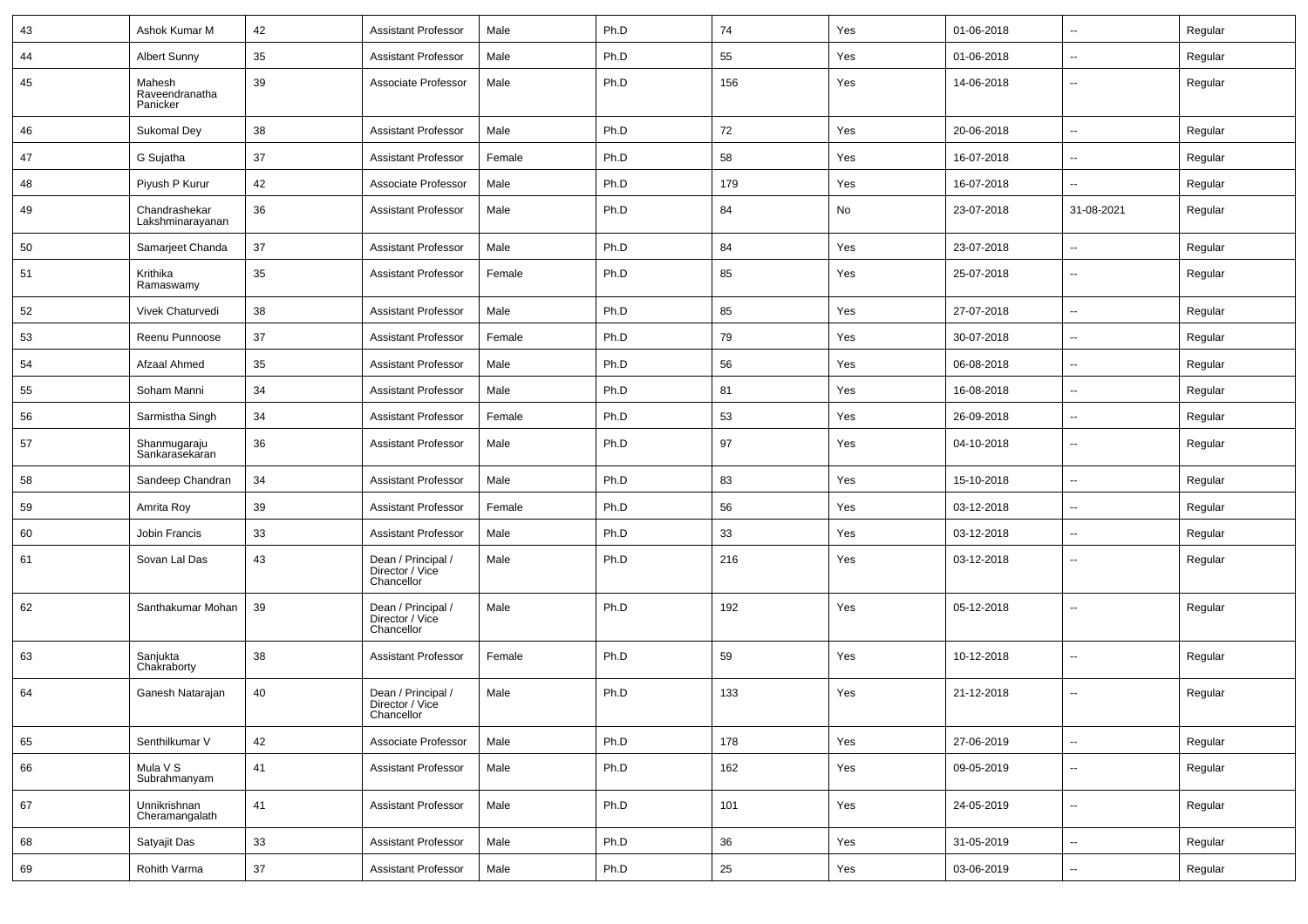| 43 | Ashok Kumar M                        | 42     | <b>Assistant Professor</b>                          | Male   | Ph.D | 74  | Yes | 01-06-2018 | $\overline{\phantom{a}}$ | Regular |
|----|--------------------------------------|--------|-----------------------------------------------------|--------|------|-----|-----|------------|--------------------------|---------|
| 44 | <b>Albert Sunny</b>                  | 35     | <b>Assistant Professor</b>                          | Male   | Ph.D | 55  | Yes | 01-06-2018 | --                       | Regular |
| 45 | Mahesh<br>Raveendranatha<br>Panicker | 39     | Associate Professor                                 | Male   | Ph.D | 156 | Yes | 14-06-2018 | --                       | Regular |
| 46 | <b>Sukomal Dey</b>                   | 38     | <b>Assistant Professor</b>                          | Male   | Ph.D | 72  | Yes | 20-06-2018 | -−                       | Regular |
| 47 | G Sujatha                            | 37     | <b>Assistant Professor</b>                          | Female | Ph.D | 58  | Yes | 16-07-2018 | -−                       | Regular |
| 48 | Piyush P Kurur                       | 42     | Associate Professor                                 | Male   | Ph.D | 179 | Yes | 16-07-2018 | $\overline{\phantom{a}}$ | Regular |
| 49 | Chandrashekar<br>Lakshminarayanan    | 36     | <b>Assistant Professor</b>                          | Male   | Ph.D | 84  | No  | 23-07-2018 | 31-08-2021               | Regular |
| 50 | Samarjeet Chanda                     | 37     | <b>Assistant Professor</b>                          | Male   | Ph.D | 84  | Yes | 23-07-2018 | -−                       | Regular |
| 51 | Krithika<br>Ramaswamy                | 35     | <b>Assistant Professor</b>                          | Female | Ph.D | 85  | Yes | 25-07-2018 | $\overline{\phantom{a}}$ | Regular |
| 52 | Vivek Chaturvedi                     | 38     | <b>Assistant Professor</b>                          | Male   | Ph.D | 85  | Yes | 27-07-2018 | $\overline{\phantom{a}}$ | Regular |
| 53 | Reenu Punnoose                       | 37     | <b>Assistant Professor</b>                          | Female | Ph.D | 79  | Yes | 30-07-2018 | $\overline{\phantom{a}}$ | Regular |
| 54 | Afzaal Ahmed                         | 35     | <b>Assistant Professor</b>                          | Male   | Ph.D | 56  | Yes | 06-08-2018 | --                       | Regular |
| 55 | Soham Manni                          | 34     | <b>Assistant Professor</b>                          | Male   | Ph.D | 81  | Yes | 16-08-2018 | --                       | Regular |
| 56 | Sarmistha Singh                      | 34     | <b>Assistant Professor</b>                          | Female | Ph.D | 53  | Yes | 26-09-2018 | $\overline{a}$           | Regular |
| 57 | Shanmugaraju<br>Sankarasekaran       | 36     | <b>Assistant Professor</b>                          | Male   | Ph.D | 97  | Yes | 04-10-2018 | --                       | Regular |
| 58 | Sandeep Chandran                     | 34     | <b>Assistant Professor</b>                          | Male   | Ph.D | 83  | Yes | 15-10-2018 | --                       | Regular |
| 59 | Amrita Roy                           | 39     | <b>Assistant Professor</b>                          | Female | Ph.D | 56  | Yes | 03-12-2018 | $\overline{\phantom{a}}$ | Regular |
| 60 | Jobin Francis                        | 33     | <b>Assistant Professor</b>                          | Male   | Ph.D | 33  | Yes | 03-12-2018 | ⊷.                       | Regular |
| 61 | Sovan Lal Das                        | 43     | Dean / Principal /<br>Director / Vice<br>Chancellor | Male   | Ph.D | 216 | Yes | 03-12-2018 | --                       | Regular |
| 62 | Santhakumar Mohan                    | 39     | Dean / Principal /<br>Director / Vice<br>Chancellor | Male   | Ph.D | 192 | Yes | 05-12-2018 | $\overline{\phantom{a}}$ | Regular |
| 63 | Sanjukta<br>Chakraborty              | 38     | <b>Assistant Professor</b>                          | Female | Ph.D | 59  | Yes | 10-12-2018 | ⊷.                       | Regular |
| 64 | Ganesh Natarajan                     | 40     | Dean / Principal /<br>Director / Vice<br>Chancellor | Male   | Ph.D | 133 | Yes | 21-12-2018 | $\overline{\phantom{a}}$ | Regular |
| 65 | Senthilkumar V                       | 42     | Associate Professor                                 | Male   | Ph.D | 178 | Yes | 27-06-2019 | Ξ.                       | Regular |
| 66 | Mula V S<br>Subrahmanyam             | 41     | <b>Assistant Professor</b>                          | Male   | Ph.D | 162 | Yes | 09-05-2019 | $\sim$                   | Regular |
| 67 | Unnikrishnan<br>Cheramangalath       | 41     | <b>Assistant Professor</b>                          | Male   | Ph.D | 101 | Yes | 24-05-2019 | ш.                       | Regular |
| 68 | Satyajit Das                         | 33     | <b>Assistant Professor</b>                          | Male   | Ph.D | 36  | Yes | 31-05-2019 | $\overline{\phantom{a}}$ | Regular |
| 69 | Rohith Varma                         | $37\,$ | <b>Assistant Professor</b>                          | Male   | Ph.D | 25  | Yes | 03-06-2019 | $\overline{\phantom{a}}$ | Regular |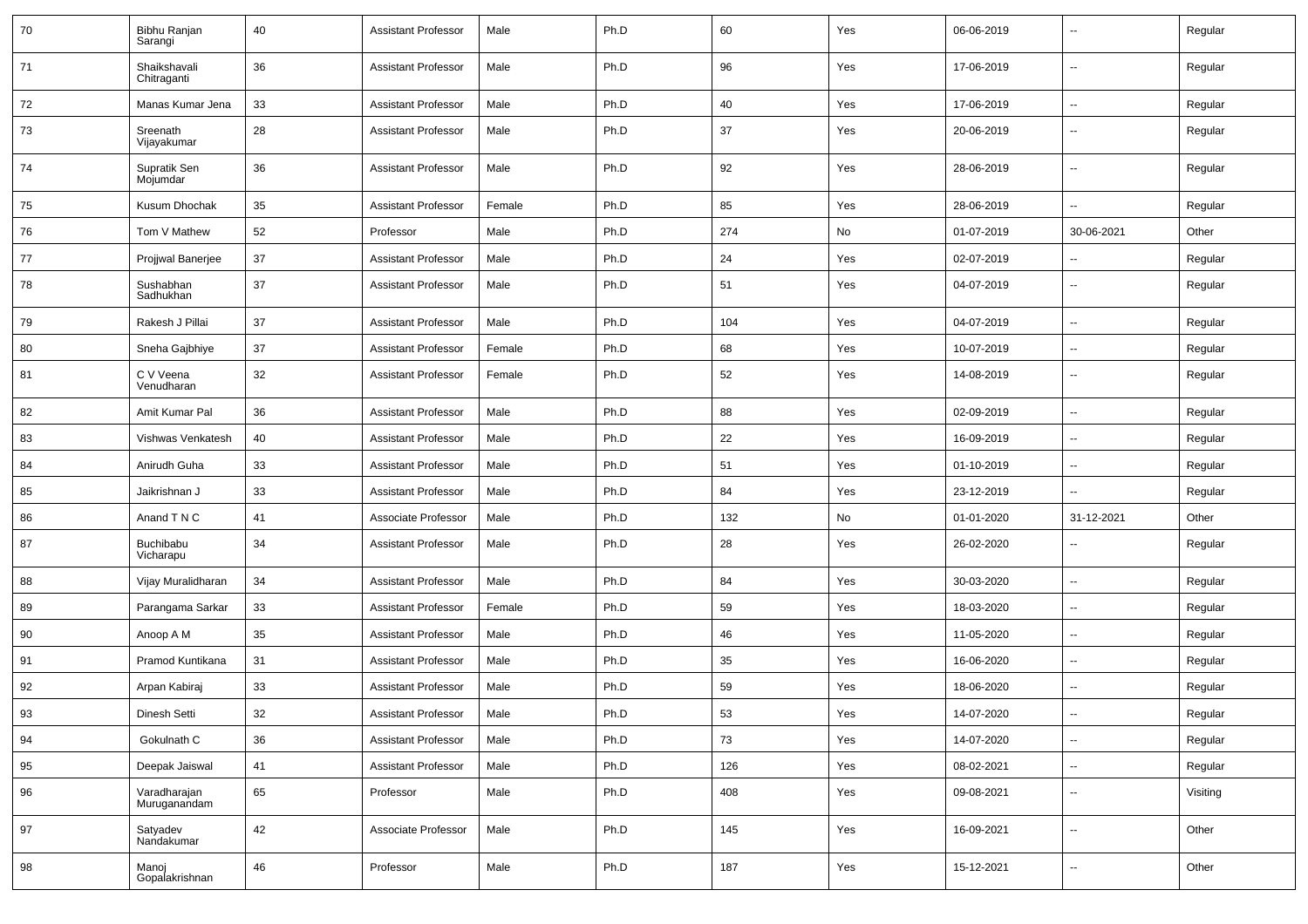| 70 | Bibhu Ranjan<br>Sarangi       | 40 | <b>Assistant Professor</b> | Male   | Ph.D | 60  | Yes | 06-06-2019 | --                       | Regular  |
|----|-------------------------------|----|----------------------------|--------|------|-----|-----|------------|--------------------------|----------|
| 71 | Shaikshavali<br>Chitraganti   | 36 | <b>Assistant Professor</b> | Male   | Ph.D | 96  | Yes | 17-06-2019 | ⊷.                       | Regular  |
| 72 | Manas Kumar Jena              | 33 | <b>Assistant Professor</b> | Male   | Ph.D | 40  | Yes | 17-06-2019 | $\sim$                   | Regular  |
| 73 | Sreenath<br>Vijayakumar       | 28 | <b>Assistant Professor</b> | Male   | Ph.D | 37  | Yes | 20-06-2019 | $\overline{\phantom{a}}$ | Regular  |
| 74 | Supratik Sen<br>Mojumdar      | 36 | <b>Assistant Professor</b> | Male   | Ph.D | 92  | Yes | 28-06-2019 | $\sim$                   | Regular  |
| 75 | Kusum Dhochak                 | 35 | <b>Assistant Professor</b> | Female | Ph.D | 85  | Yes | 28-06-2019 | Ξ.                       | Regular  |
| 76 | Tom V Mathew                  | 52 | Professor                  | Male   | Ph.D | 274 | No  | 01-07-2019 | 30-06-2021               | Other    |
| 77 | Projjwal Banerjee             | 37 | <b>Assistant Professor</b> | Male   | Ph.D | 24  | Yes | 02-07-2019 | -−                       | Regular  |
| 78 | Sushabhan<br>Sadhukhan        | 37 | <b>Assistant Professor</b> | Male   | Ph.D | 51  | Yes | 04-07-2019 | $\overline{\phantom{a}}$ | Regular  |
| 79 | Rakesh J Pillai               | 37 | <b>Assistant Professor</b> | Male   | Ph.D | 104 | Yes | 04-07-2019 | Ξ.                       | Regular  |
| 80 | Sneha Gajbhiye                | 37 | <b>Assistant Professor</b> | Female | Ph.D | 68  | Yes | 10-07-2019 | $\sim$                   | Regular  |
| 81 | C V Veena<br>Venudharan       | 32 | <b>Assistant Professor</b> | Female | Ph.D | 52  | Yes | 14-08-2019 | Ξ.                       | Regular  |
| 82 | Amit Kumar Pal                | 36 | <b>Assistant Professor</b> | Male   | Ph.D | 88  | Yes | 02-09-2019 | н.                       | Regular  |
| 83 | Vishwas Venkatesh             | 40 | <b>Assistant Professor</b> | Male   | Ph.D | 22  | Yes | 16-09-2019 | Ξ.                       | Regular  |
| 84 | Anirudh Guha                  | 33 | <b>Assistant Professor</b> | Male   | Ph.D | 51  | Yes | 01-10-2019 | --                       | Regular  |
| 85 | Jaikrishnan J                 | 33 | <b>Assistant Professor</b> | Male   | Ph.D | 84  | Yes | 23-12-2019 |                          | Regular  |
| 86 | Anand T N C                   | 41 | Associate Professor        | Male   | Ph.D | 132 | No  | 01-01-2020 | 31-12-2021               | Other    |
| 87 | <b>Buchibabu</b><br>Vicharapu | 34 | <b>Assistant Professor</b> | Male   | Ph.D | 28  | Yes | 26-02-2020 | $\sim$                   | Regular  |
| 88 | Vijay Muralidharan            | 34 | <b>Assistant Professor</b> | Male   | Ph.D | 84  | Yes | 30-03-2020 | $\overline{\phantom{a}}$ | Regular  |
| 89 | Parangama Sarkar              | 33 | <b>Assistant Professor</b> | Female | Ph.D | 59  | Yes | 18-03-2020 | н.                       | Regular  |
| 90 | Anoop A M                     | 35 | <b>Assistant Professor</b> | Male   | Ph.D | 46  | Yes | 11-05-2020 | ⊷.                       | Regular  |
| 91 | Pramod Kuntikana              | 31 | <b>Assistant Professor</b> | Male   | Ph.D | 35  | Yes | 16-06-2020 | --                       | Regular  |
| 92 | Arpan Kabiraj                 | 33 | <b>Assistant Professor</b> | Male   | Ph.D | 59  | Yes | 18-06-2020 | н.                       | Regular  |
| 93 | Dinesh Setti                  | 32 | Assistant Professor        | Male   | Ph.D | 53  | Yes | 14-07-2020 |                          | Regular  |
| 94 | Gokulnath C                   | 36 | <b>Assistant Professor</b> | Male   | Ph.D | 73  | Yes | 14-07-2020 | $\overline{\phantom{a}}$ | Regular  |
| 95 | Deepak Jaiswal                | 41 | <b>Assistant Professor</b> | Male   | Ph.D | 126 | Yes | 08-02-2021 | Щ,                       | Regular  |
| 96 | Varadharajan<br>Muruganandam  | 65 | Professor                  | Male   | Ph.D | 408 | Yes | 09-08-2021 | щ.                       | Visiting |
| 97 | Satyadev<br>Nandakumar        | 42 | Associate Professor        | Male   | Ph.D | 145 | Yes | 16-09-2021 | Щ,                       | Other    |
| 98 | Manoj<br>Gopalakrishnan       | 46 | Professor                  | Male   | Ph.D | 187 | Yes | 15-12-2021 | щ.                       | Other    |